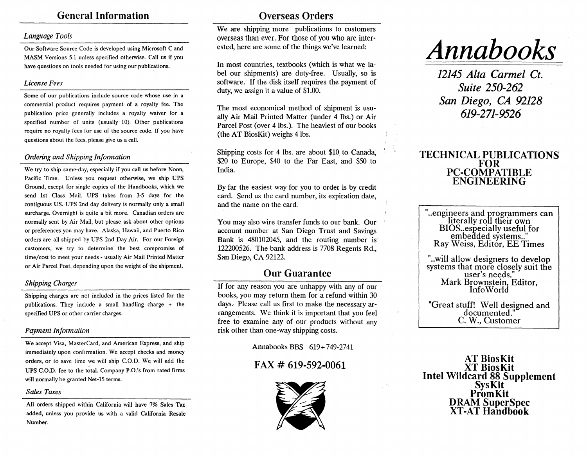## General Information

#### *Language Tools*

Our Software Source Code is developed using Microsoft C and MASM Versions 5.1 unless specified otherwise. Call us if you have questions on tools needed for using our publications.

#### *License Fees*

Some of our publications include source code whose use in a commercial product requires payment of a royalty fee. The publication price generally includes a royalty waiver for a specified number of units (usually 10). Other publications require no royalty fees for use of the source code. If you have questions about the fees, please give us a call.

#### *Ordering and Shipping Information*

We try to ship same-day, especially if you call us before Noon, Pacific Time. Unless you request otherwise, we ship UPS Ground, except for single copies of the Handbooks, which we send 1st Class Mail. UPS takes from 3-5 days for the contiguous US. UPS 2nd day delivery is normally only a small surcharge. Overnight is quite a bit more. Canadian orders are normally sent by Air Mail, but please ask about other options or preferences you may have. Alaska, Hawaii, and Puerto Rico orders are all shipped by UPS 2nd Day Air. For our Foreign customers, we try to determine the best compromise of time/cost to meet your needs - usually Air Mail Printed Matter or Air Parcel Post, depending upon the weight of the shipment.

#### *Shipping Charges*

Shipping charges are not included in the prices listed for the publications. They include a small handling charge + the specified UPS or other carrier charges.

#### *Payment Information*

We accept Visa, MasterCard, and American Express, and ship immediately upon confirmation. We accept checks and money orders, or to save time we will ship C.O.D. We will add the UPS C.O.D. fee to the total. Company P.0.'s from rated firms will normally be granted Net-15 terms.

#### *Sales Taxes*

All orders shipped within California will have 7% Sales Tax added, unless you provide us with a valid California Resale Number.

### Overseas Orders

We are shipping more publications to customers overseas than ever. For those of you who are interested, here are some of the things we've learned:

In most countries, textbooks (which is what we label our shipments) are duty-free. Usually, so is software. If the disk itself requires the payment of duty, we assign it a value of \$1.00.

The most economical method of shipment is usually Air Mail Printed Matter (under 4 lbs.) or Air Parcel Post (over 4 lbs.). The heaviest of our books (the AT BiosKit) weighs 4 lbs.

Shipping costs for 4 lbs. are about \$10 to Canada,  $$20$  to Europe,  $$40$  to the Far East, and  $$50$  to India.

By far the easiest way for you to order is by credit card. Send us the card number, its expiration date, and the name on the card.

You may also wire transfer funds to our bank. Our account number at San Diego Trust and Savings Bank is 480102045, and the routing number is 122200526. The bank address is 7708 Regents Rd., San Diego, CA 92122.

### Our Guarantee

If for any reason you are unhappy with any of our books, you may return them for a refund within 30 days. Please call us first to make the necessary arrangements. We think it is important that you feel free to examine any of our products without any risk other than one-way shipping costs.

Annabooks BBS 619+ 749-2741

### FAX # 619-592-0061



*Annabooks* 

*12145 Alta Carmel Ct. Suite 250-262 San Diego, CA 92128 619-271-9526* 

#### TECHNICAL PUBLICATIONS FOR PC-COMPATIBLE ENGINEERING

" .. engineers and programmers can literally roll their own BIOS .. especially useful for embedded systems.." Ray Weiss, Editor, EE Times

"..will allow designers to develop" systems that more closely suit the user's needs." Mark Brownstein, Editor, Info World

"Great stuff! Well designed and documented." C. W., Customer

AT BiosKit XT BiosKit Intel Wildcard 88 Supplement Sys Kit Prom Kit DRAM SuperSpec XT-AT Handbook